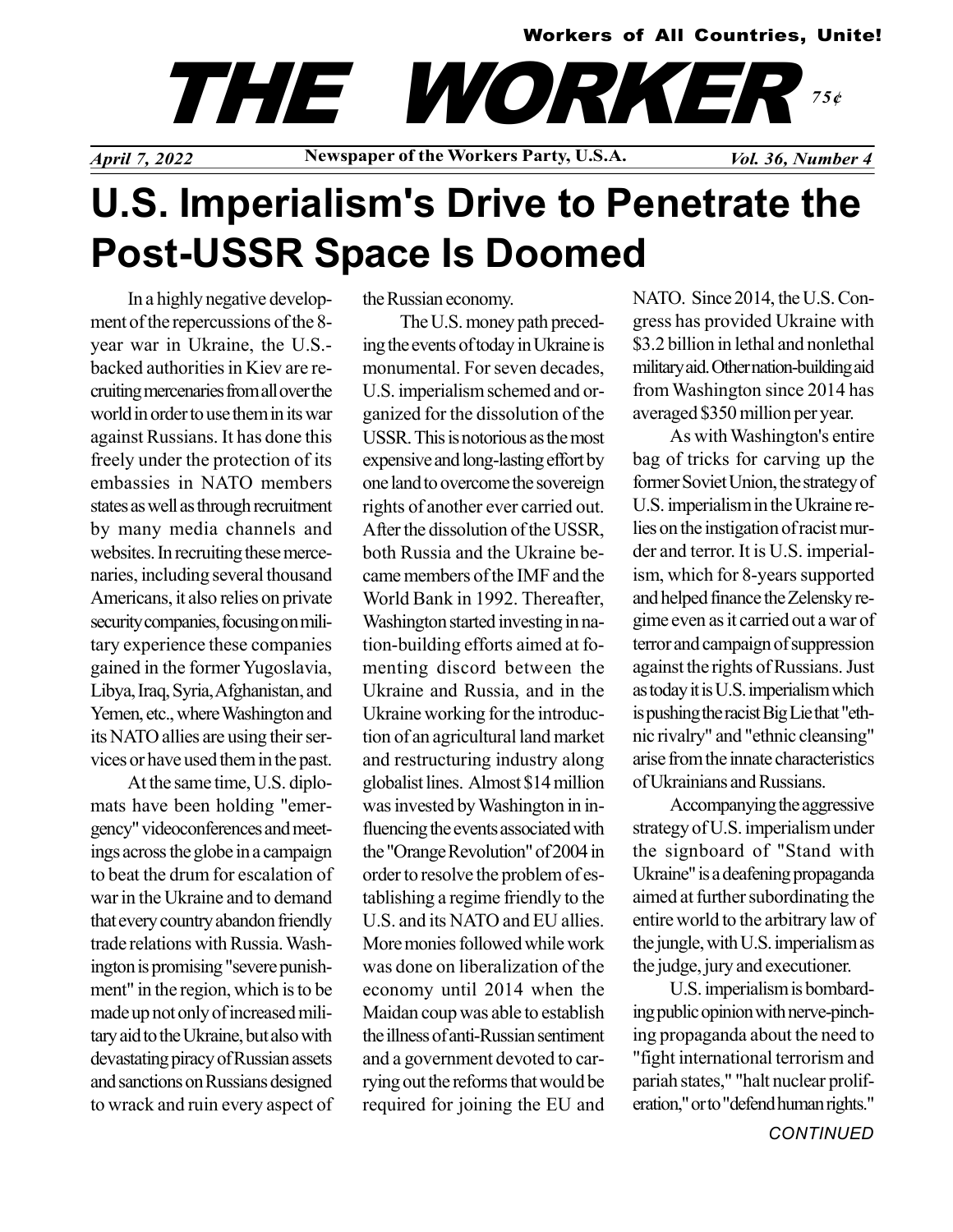### Workers of All Countries, Unite!

# THE WORKER 75¢

April 7, 2022 Newspaper of the Workers Party, U.S.A. Vol. 36, Number 4

## U.S. Imperialism's Drive to Penetrate the Post-USSR Space Is Doomed

In a highly negative development of the repercussions of the 8 year war in Ukraine, the U.S. backed authorities in Kiev are recruiting mercenaries from all over the world in order to use them in its war against Russians. It has done this freely under the protection of its embassies in NATO members states as well as through recruitment by many media channels and websites. In recruiting these mercenaries, including several thousand Americans, it also relies on private security companies, focusing on military experience these companies gained in the former Yugoslavia, Libya, Iraq, Syria, Afghanistan, and Yemen, etc., where Washington and its NATO allies are using their services or have used them in the past.

At the same time, U.S. diplomats have been holding "emergency" videoconferences and meetings across the globe in a campaign to beat the drum for escalation of war in the Ukraine and to demand that every country abandon friendly trade relations with Russia. Washington is promising "severe punishment" in the region, which is to be made up not only of increased military aid to the Ukraine, but also with devastating piracy of Russian assets and sanctions on Russians designed to wrack and ruin every aspect of the Russian economy.

The U.S. money path preceding the events of today in Ukraine is monumental. For seven decades, U.S. imperialism schemed and organized for the dissolution of the USSR. This is notorious as the most expensive and long-lasting effort by one land to overcome the sovereign rights of another ever carried out. After the dissolution of the USSR, both Russia and the Ukraine became members of the IMF and the World Bank in 1992. Thereafter, Washington started investing in nation-building efforts aimed at fomenting discord between the Ukraine and Russia, and in the Ukraine working for the introduction of an agricultural land market and restructuring industry along globalist lines. Almost \$14 million was invested by Washington in influencing the events associated with the "Orange Revolution" of 2004 in order to resolve the problem of establishing a regime friendly to the U.S. and its NATO and EU allies. More monies followed while work was done on liberalization of the economy until 2014 when the Maidan coup was able to establish the illness of anti-Russian sentiment and a government devoted to carrying out the reforms that would be required for joining the EU and NATO. Since 2014, the U.S. Congress has provided Ukraine with \$3.2 billion in lethal and nonlethal military aid. Other nation-building aid from Washington since 2014 has averaged \$350 million per year.

As with Washington's entire bag of tricks for carving up the former Soviet Union, the strategy of U.S. imperialism in the Ukraine relies on the instigation of racist murder and terror. It is U.S. imperialism, which for 8-years supported and helped finance the Zelensky regime even as it carried out a war of terror and campaign of suppression against the rights of Russians. Just as today it is U.S. imperialism which is pushing the racist Big Lie that "ethnic rivalry" and "ethnic cleansing" arise from the innate characteristics of Ukrainians and Russians.

Accompanying the aggressive strategy of U.S. imperialism under the signboard of "Stand with Ukraine" is a deafening propaganda aimed at further subordinating the entire world to the arbitrary law of the jungle, with U.S. imperialism as the judge, jury and executioner.

U.S. imperialism is bombarding public opinion with nerve-pinching propaganda about the need to "fight international terrorism and pariah states," "halt nuclear proliferation," or to "defend human rights."

**CONTINUED**